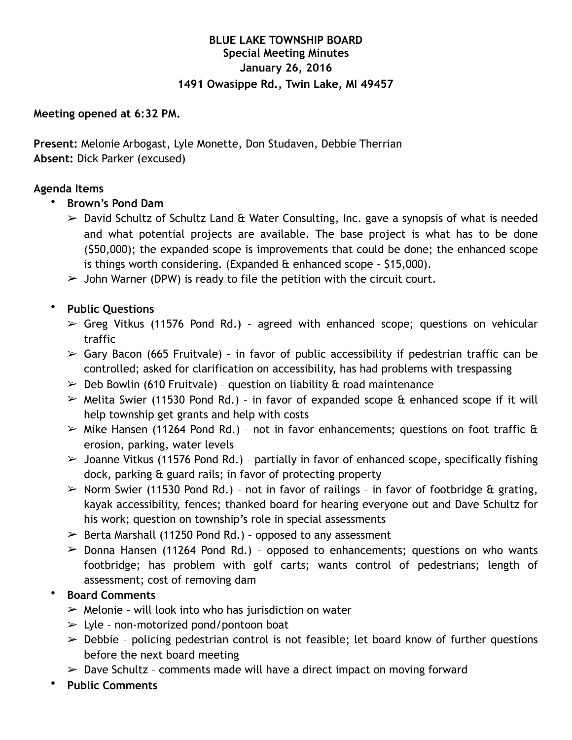# **BLUE LAKE TOWNSHIP BOARD Special Meeting Minutes January 26, 2016 1491 Owasippe Rd., Twin Lake, MI 49457**

#### **Meeting opened at 6:32 PM.**

**Present:** Melonie Arbogast, Lyle Monette, Don Studaven, Debbie Therrian **Absent:** Dick Parker (excused)

### **Agenda Items**

- **Brown's Pond Dam**
	- $\geq$  David Schultz of Schultz Land & Water Consulting, Inc. gave a synopsis of what is needed and what potential projects are available. The base project is what has to be done (\$50,000); the expanded scope is improvements that could be done; the enhanced scope is things worth considering. (Expanded  $\alpha$  enhanced scope - \$15,000).
	- $\triangleright$  John Warner (DPW) is ready to file the petition with the circuit court.
- **Public Questions**
	- $\triangleright$  Greg Vitkus (11576 Pond Rd.) agreed with enhanced scope; questions on vehicular traffic
	- $\triangleright$  Gary Bacon (665 Fruitvale) in favor of public accessibility if pedestrian traffic can be controlled; asked for clarification on accessibility, has had problems with trespassing
	- $\geq$  Deb Bowlin (610 Fruitvale) question on liability & road maintenance
	- $\triangleright$  Melita Swier (11530 Pond Rd.) in favor of expanded scope & enhanced scope if it will help township get grants and help with costs
	- $\triangleright$  Mike Hansen (11264 Pond Rd.) not in favor enhancements; questions on foot traffic & erosion, parking, water levels
	- $\geq$  Joanne Vitkus (11576 Pond Rd.) partially in favor of enhanced scope, specifically fishing dock, parking & guard rails; in favor of protecting property
	- $\triangleright$  Norm Swier (11530 Pond Rd.) not in favor of railings in favor of footbridge & grating, kayak accessibility, fences; thanked board for hearing everyone out and Dave Schultz for his work; question on township's role in special assessments
	- $\geq$  Berta Marshall (11250 Pond Rd.) opposed to any assessment
	- $\geq$  Donna Hansen (11264 Pond Rd.) opposed to enhancements; questions on who wants footbridge; has problem with golf carts; wants control of pedestrians; length of assessment; cost of removing dam

## • **Board Comments**

- $\triangleright$  Melonie will look into who has jurisdiction on water
- $\geq$  Lyle non-motorized pond/pontoon boat
- $\geq$  Debbie policing pedestrian control is not feasible; let board know of further questions before the next board meeting
- $\geq$  Dave Schultz comments made will have a direct impact on moving forward
- **Public Comments**